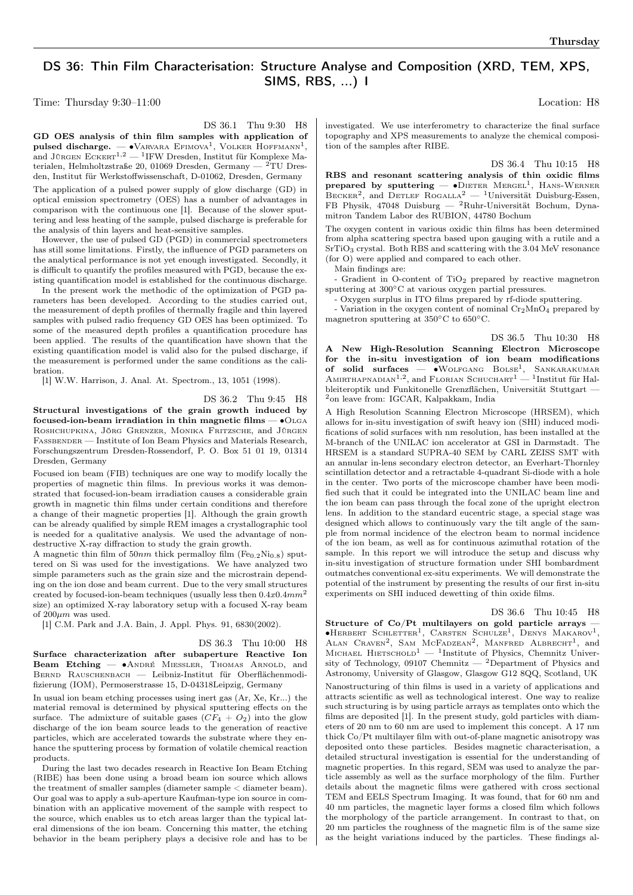## DS 36: Thin Film Characterisation: Structure Analyse and Composition (XRD, TEM, XPS, SIMS, RBS, ...) I

Time: Thursday 9:30–11:00 Location: H8

DS 36.1 Thu 9:30 H8

GD OES analysis of thin film samples with application of pulsed discharge. —  $\bullet$ Varvara Efimova<sup>1</sup>, Volker Hoffmann<sup>1</sup>, and Jürgen  $\text{Eckerr}^{1,2} - \text{1FW Dresden}$ , Institut für Komplexe Materialen, Helmholtzstraße 20, 01069 Dresden, Germany —  ${}^{2}$ TU Dresden, Institut für Werkstoffwissenschaft, D-01062, Dresden, Germany

The application of a pulsed power supply of glow discharge (GD) in optical emission spectrometry (OES) has a number of advantages in comparison with the continuous one [1]. Because of the slower sputtering and less heating of the sample, pulsed discharge is preferable for the analysis of thin layers and heat-sensitive samples.

However, the use of pulsed GD (PGD) in commercial spectrometers has still some limitations. Firstly, the influence of PGD parameters on the analytical performance is not yet enough investigated. Secondly, it is difficult to quantify the profiles measured with PGD, because the existing quantification model is established for the continuous discharge.

In the present work the methodic of the optimization of PGD parameters has been developed. According to the studies carried out, the measurement of depth profiles of thermally fragile and thin layered samples with pulsed radio frequency GD OES has been optimized. To some of the measured depth profiles a quantification procedure has been applied. The results of the quantification have shown that the existing quantification model is valid also for the pulsed discharge, if the measurement is performed under the same conditions as the calibration.

[1] W.W. Harrison, J. Anal. At. Spectrom., 13, 1051 (1998).

DS 36.2 Thu 9:45 H8

Structural investigations of the grain growth induced by focused-ion-beam irradiation in thin magnetic films —  $\bullet$ OLGA Roshchupkina, Jörg Grenzer, Monika Fritzsche, and Jürgen FASSBENDER — Institute of Ion Beam Physics and Materials Research, Forschungszentrum Dresden-Rossendorf, P. O. Box 51 01 19, 01314 Dresden, Germany

Focused ion beam (FIB) techniques are one way to modify locally the properties of magnetic thin films. In previous works it was demonstrated that focused-ion-beam irradiation causes a considerable grain growth in magnetic thin films under certain conditions and therefore a change of their magnetic properties [1]. Although the grain growth can be already qualified by simple REM images a crystallographic tool is needed for a qualitative analysis. We used the advantage of nondestructive X-ray diffraction to study the grain growth.

A magnetic thin film of  $50nm$  thick permalloy film (Fe<sub>0.2</sub>Ni<sub>0.8</sub>) sputtered on Si was used for the investigations. We have analyzed two simple parameters such as the grain size and the microstrain depending on the ion dose and beam current. Due to the very small structures created by focused-ion-beam techniques (usually less then  $0.4x0.4mm^2$ size) an optimized X-ray laboratory setup with a focused X-ray beam of  $200 \mu m$  was used.

[1] C.M. Park and J.A. Bain, J. Appl. Phys. 91, 6830(2002).

## DS 36.3 Thu 10:00 H8

Surface characterization after subaperture Reactive Ion Beam Etching — • ANDRÉ MIESSLER, THOMAS ARNOLD, and BERND RAUSCHENBACH — Leibniz-Institut für Oberflächenmodifizierung (IOM), Permoserstrasse 15, D-04318Leipzig, Germany

In usual ion beam etching processes using inert gas (Ar, Xe, Kr...) the material removal is determined by physical sputtering effects on the surface. The admixture of suitable gases  $(CF_4 + O_2)$  into the glow discharge of the ion beam source leads to the generation of reactive particles, which are accelerated towards the substrate where they enhance the sputtering process by formation of volatile chemical reaction products.

During the last two decades research in Reactive Ion Beam Etching (RIBE) has been done using a broad beam ion source which allows the treatment of smaller samples (diameter sample < diameter beam). Our goal was to apply a sub-aperture Kaufman-type ion source in combination with an applicative movement of the sample with respect to the source, which enables us to etch areas larger than the typical lateral dimensions of the ion beam. Concerning this matter, the etching behavior in the beam periphery plays a decisive role and has to be

investigated. We use interferometry to characterize the final surface topography and XPS measurements to analyze the chemical composition of the samples after RIBE.

DS 36.4 Thu 10:15 H8

RBS and resonant scattering analysis of thin oxidic films prepared by sputtering —  $\bullet$ DIETER MERGEL<sup>1</sup>, HANS-WERNER BECKER<sup>2</sup>, and DETLEF ROGALLA<sup>2</sup> - <sup>1</sup>Universität Duisburg-Essen, FB Physik, 47048 Duisburg — <sup>2</sup>Ruhr-Universität Bochum, Dynamitron Tandem Labor des RUBION, 44780 Bochum

The oxygen content in various oxidic thin films has been determined from alpha scattering spectra based upon gauging with a rutile and a  ${\rm SrTiO_3}$  crystal. Both RBS and scattering with the 3.04 MeV resonance (for O) were applied and compared to each other.

Main findings are:

- Gradient in O-content of TiO<sub>2</sub> prepared by reactive magnetron sputtering at 300∘C at various oxygen partial pressures.

- Oxygen surplus in ITO films prepared by rf-diode sputtering.

- Variation in the oxygen content of nominal  $Cr_2MnO_4$  prepared by magnetron sputtering at 350∘C to 650∘C.

DS 36.5 Thu 10:30 H8 A New High-Resolution Scanning Electron Microscope for the in-situ investigation of ion beam modifications of solid surfaces —  $\bullet$ Wolfgang Bolse<sup>1</sup>, Sankarakumar Amirthapnadian<sup>1,2</sup>, and Florian Schuchart<sup>1</sup> — <sup>1</sup>Institut für Halbleiteroptik und Funkitonelle Grenzflächen, Universität Stuttgart — <sup>2</sup>on leave from: IGCAR, Kalpakkam, India

A High Resolution Scanning Electron Microscope (HRSEM), which allows for in-situ investigation of swift heavy ion (SHI) induced modifications of solid surfaces with nm resolution, has been installed at the M-branch of the UNILAC ion accelerator at GSI in Darmstadt. The HRSEM is a standard SUPRA-40 SEM by CARL ZEISS SMT with an annular in-lens secondary electron detector, an Everhart-Thornley scintillation detector and a retractable 4-quadrant Si-diode with a hole in the center. Two ports of the microscope chamber have been modified such that it could be integrated into the UNILAC beam line and the ion beam can pass through the focal zone of the upright electron lens. In addition to the standard eucentric stage, a special stage was designed which allows to continuously vary the tilt angle of the sample from normal incidence of the electron beam to normal incidence of the ion beam, as well as for continuous azimuthal rotation of the sample. In this report we will introduce the setup and discuss why in-situ investigation of structure formation under SHI bombardment outmatches conventional ex-situ experiments. We will demonstrate the potential of the instrument by presenting the results of our first in-situ experiments on SHI induced dewetting of thin oxide films.

## DS 36.6 Thu 10:45 H8

Structure of Co/Pt multilayers on gold particle arrays -∙Herbert Schletter<sup>1</sup> , Carsten Schulze<sup>1</sup> , Denys Makarov<sup>1</sup> , ALAN CRAVEN<sup>2</sup>, SAM MCFADZEAN<sup>2</sup>, MANFRED ALBRECHT<sup>1</sup>, and MICHAEL HIETSCHOLD<sup>1</sup> — <sup>1</sup>Institute of Physics, Chemnitz University of Technology, 09107 Chemnitz —  $^2$ Department of Physics and Astronomy, University of Glasgow, Glasgow G12 8QQ, Scotland, UK Nanostructuring of thin films is used in a variety of applications and attracts scientific as well as technological interest. One way to realize such structuring is by using particle arrays as templates onto which the films are deposited [1]. In the present study, gold particles with diameters of 20 nm to 60 nm are used to implement this concept. A 17 nm thick Co/Pt multilayer film with out-of-plane magnetic anisotropy was deposited onto these particles. Besides magnetic characterisation, a detailed structural investigation is essential for the understanding of magnetic properties. In this regard, SEM was used to analyze the particle assembly as well as the surface morphology of the film. Further details about the magnetic films were gathered with cross sectional TEM and EELS Spectrum Imaging. It was found, that for 60 nm and 40 nm particles, the magnetic layer forms a closed film which follows the morphology of the particle arrangement. In contrast to that, on 20 nm particles the roughness of the magnetic film is of the same size as the height variations induced by the particles. These findings al